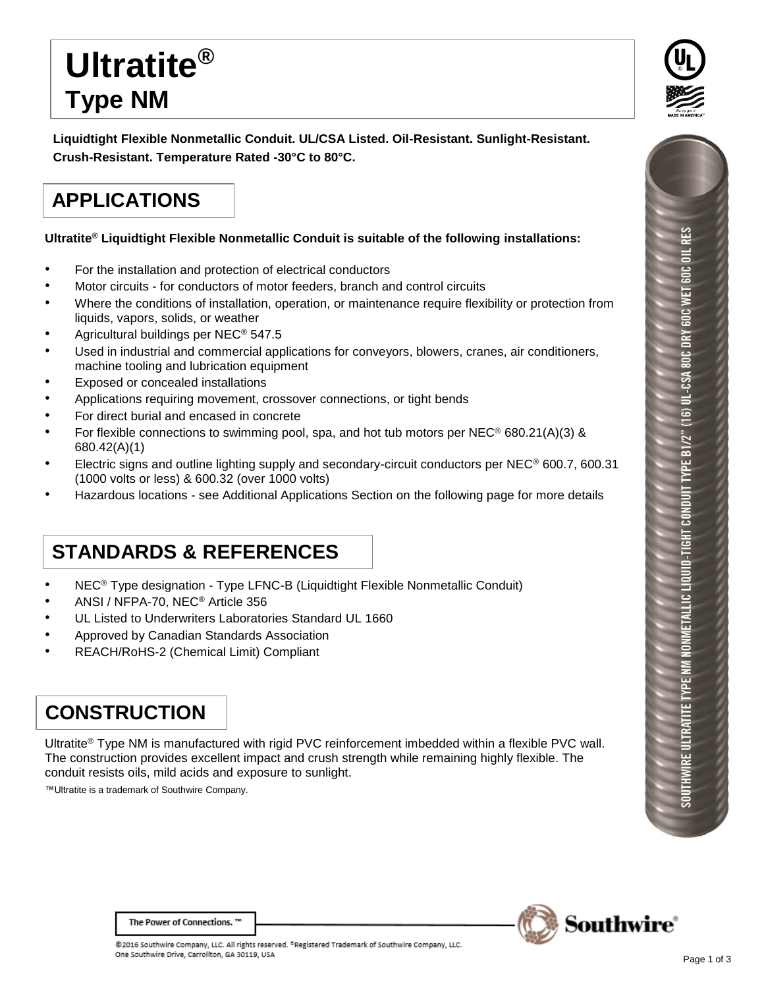# **Ultratite® Type NM**

**Liquidtight Flexible Nonmetallic Conduit. UL/CSA Listed. Oil-Resistant. Sunlight-Resistant. Crush-Resistant. Temperature Rated -30°C to 80°C.**

## **APPLICATIONS**

#### **Ultratite® Liquidtight Flexible Nonmetallic Conduit is suitable of the following installations:**

- For the installation and protection of electrical conductors
- Motor circuits for conductors of motor feeders, branch and control circuits
- Where the conditions of installation, operation, or maintenance require flexibility or protection from liquids, vapors, solids, or weather
- Agricultural buildings per NEC® 547.5
- Used in industrial and commercial applications for conveyors, blowers, cranes, air conditioners, machine tooling and lubrication equipment
- Exposed or concealed installations
- Applications requiring movement, crossover connections, or tight bends
- For direct burial and encased in concrete
- For flexible connections to swimming pool, spa, and hot tub motors per NEC<sup>®</sup> 680.21(A)(3) & 680.42(A)(1)
- Electric signs and outline lighting supply and secondary-circuit conductors per NEC® 600.7, 600.31 (1000 volts or less) & 600.32 (over 1000 volts)
- Hazardous locations see Additional Applications Section on the following page for more details

### **STANDARDS & REFERENCES**

- NEC® Type designation Type LFNC-B (Liquidtight Flexible Nonmetallic Conduit)
- ANSI / NFPA-70, NEC® Article 356
- UL Listed to Underwriters Laboratories Standard UL 1660
- Approved by Canadian Standards Association
- REACH/RoHS-2 (Chemical Limit) Compliant

#### **CONSTRUCTION**

Ultratite® Type NM is manufactured with rigid PVC reinforcement imbedded within a flexible PVC wall. The construction provides excellent impact and crush strength while remaining highly flexible. The conduit resists oils, mild acids and exposure to sunlight.

™Ultratite is a trademark of Southwire Company.





The Power of Connections."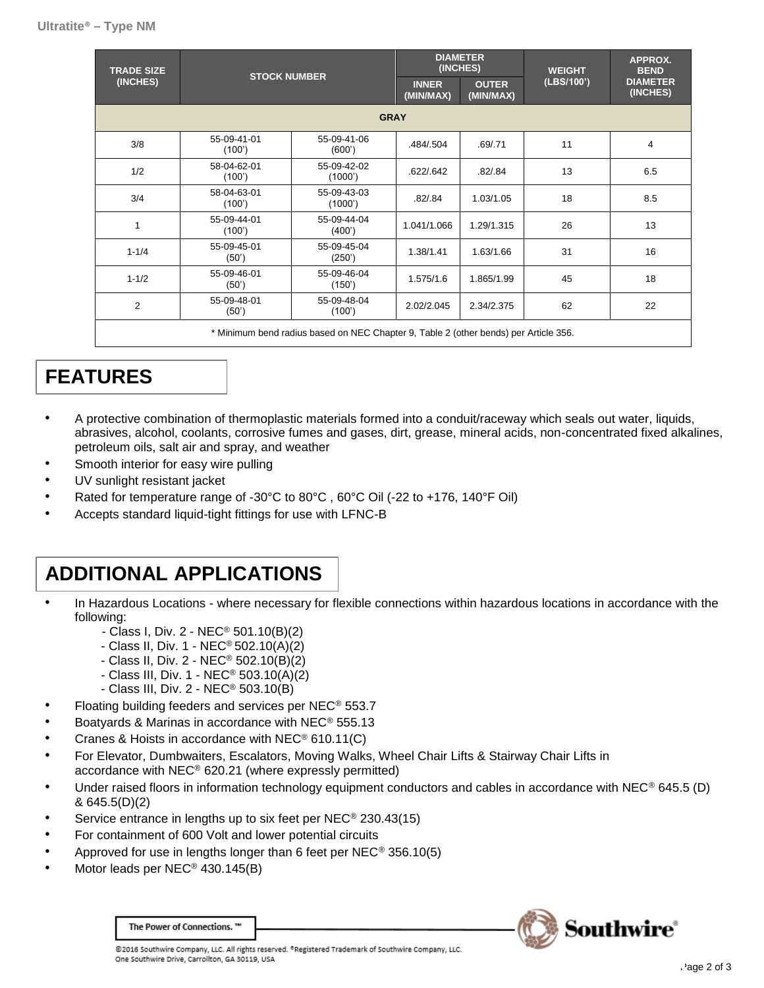| <b>TRADE SIZE</b><br>(INCHES) | <b>STOCK NUMBER</b>   |                                                                                    | <b>DIAMETER</b><br>(INCHES) |                           | <b>WEIGHT</b> | APPROX.<br><b>BEND</b>      |
|-------------------------------|-----------------------|------------------------------------------------------------------------------------|-----------------------------|---------------------------|---------------|-----------------------------|
|                               |                       |                                                                                    | <b>INNER</b><br>(MIN/MAX)   | <b>OUTER</b><br>(MIN/MAX) | (LBS/100')    | <b>DIAMETER</b><br>(INCHES) |
| <b>GRAY</b>                   |                       |                                                                                    |                             |                           |               |                             |
| 3/8                           | 55-09-41-01<br>(100') | 55-09-41-06<br>(600')                                                              | .484/.504                   | .69/.71                   | 11            | 4                           |
| 1/2                           | 58-04-62-01<br>(100') | 55-09-42-02<br>(1000')                                                             | .622/.642                   | .82/.84                   | 13            | 6.5                         |
| 3/4                           | 58-04-63-01<br>(100') | 55-09-43-03<br>(1000')                                                             | .82/.84                     | 1.03/1.05                 | 18            | 8.5                         |
| 1                             | 55-09-44-01<br>(100') | 55-09-44-04<br>(400')                                                              | 1.041/1.066                 | 1.29/1.315                | 26            | 13                          |
| $1 - 1/4$                     | 55-09-45-01<br>(50)   | 55-09-45-04<br>(250')                                                              | 1.38/1.41                   | 1.63/1.66                 | 31            | 16                          |
| $1 - 1/2$                     | 55-09-46-01<br>(50)   | 55-09-46-04<br>(150')                                                              | 1.575/1.6                   | 1.865/1.99                | 45            | 18                          |
| 2                             | 55-09-48-01<br>(50')  | 55-09-48-04<br>(100')                                                              | 2.02/2.045                  | 2.34/2.375                | 62            | 22                          |
|                               |                       | * Minimum hondrodius hoogd on NEO Obontor O. Toble O (other honde) nor Article OEO |                             |                           |               |                             |

Minimum bend radius based on NEC Chapter 9, Table 2 (other bends) per Article 356.

### **FEATURES**

- A protective combination of thermoplastic materials formed into a conduit/raceway which seals out water, liquids, abrasives, alcohol, coolants, corrosive fumes and gases, dirt, grease, mineral acids, non-concentrated fixed alkalines, petroleum oils, salt air and spray, and weather
- Smooth interior for easy wire pulling
- UV sunlight resistant jacket
- Rated for temperature range of -30°C to 80°C, 60°C Oil (-22 to +176, 140°F Oil)
- Accepts standard liquid-tight fittings for use with LFNC-B

### **ADDITIONAL APPLICATIONS**

- In Hazardous Locations where necessary for flexible connections within hazardous locations in accordance with the following:
	- Class I, Div. 2 NEC® 501.10(B)(2)
	- Class II, Div. 1 NEC® 502.10(A)(2)
	- Class II, Div. 2 NEC® 502.10(B)(2)
	- Class III, Div. 1 NEC® 503.10(A)(2)
	- Class III, Div. 2 NEC® 503.10(B)
- Floating building feeders and services per NEC® 553.7
- Boatyards & Marinas in accordance with NEC® 555.13
- Cranes & Hoists in accordance with NEC® 610.11(C)
- For Elevator, Dumbwaiters, Escalators, Moving Walks, Wheel Chair Lifts & Stairway Chair Lifts in accordance with NEC® 620.21 (where expressly permitted)
- Under raised floors in information technology equipment conductors and cables in accordance with NEC® 645.5 (D) & 645.5(D)(2)
- Service entrance in lengths up to six feet per NEC<sup>®</sup> 230.43(15)
- For containment of 600 Volt and lower potential circuits
- Approved for use in lengths longer than 6 feet per NEC® 356.10(5)
- Motor leads per NEC<sup>®</sup> 430.145(B)